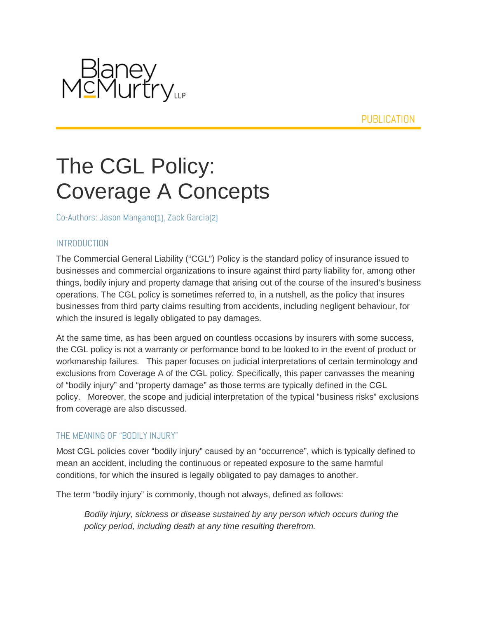

**PUBLICATION** 

# The CGL Policy: Coverage A Concepts

Co-Authors: Jason Mangano[1], Zack Garcia[2]

#### INTRODUCTION

The Commercial General Liability ("CGL") Policy is the standard policy of insurance issued to businesses and commercial organizations to insure against third party liability for, among other things, bodily injury and property damage that arising out of the course of the insured's business operations. The CGL policy is sometimes referred to, in a nutshell, as the policy that insures businesses from third party claims resulting from accidents, including negligent behaviour, for which the insured is legally obligated to pay damages.

At the same time, as has been argued on countless occasions by insurers with some success, the CGL policy is not a warranty or performance bond to be looked to in the event of product or workmanship failures. This paper focuses on judicial interpretations of certain terminology and exclusions from Coverage A of the CGL policy. Specifically, this paper canvasses the meaning of "bodily injury" and "property damage" as those terms are typically defined in the CGL policy. Moreover, the scope and judicial interpretation of the typical "business risks" exclusions from coverage are also discussed.

## THE MEANING OF "BODILY INJURY"

Most CGL policies cover "bodily injury" caused by an "occurrence", which is typically defined to mean an accident, including the continuous or repeated exposure to the same harmful conditions, for which the insured is legally obligated to pay damages to another.

The term "bodily injury" is commonly, though not always, defined as follows:

*Bodily injury, sickness or disease sustained by any person which occurs during the policy period, including death at any time resulting therefrom.*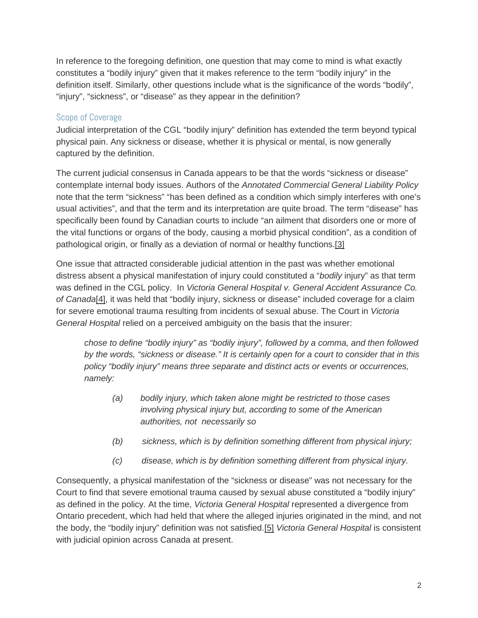In reference to the foregoing definition, one question that may come to mind is what exactly constitutes a "bodily injury" given that it makes reference to the term "bodily injury" in the definition itself. Similarly, other questions include what is the significance of the words "bodily", "injury", "sickness", or "disease" as they appear in the definition?

## Scope of Coverage

Judicial interpretation of the CGL "bodily injury" definition has extended the term beyond typical physical pain. Any sickness or disease, whether it is physical or mental, is now generally captured by the definition.

The current judicial consensus in Canada appears to be that the words "sickness or disease" contemplate internal body issues. Authors of the *Annotated Commercial General Liability Policy* note that the term "sickness" "has been defined as a condition which simply interferes with one's usual activities", and that the term and its interpretation are quite broad. The term "disease" has specifically been found by Canadian courts to include "an ailment that disorders one or more of the vital functions or organs of the body, causing a morbid physical condition", as a condition of pathological origin, or finally as a deviation of normal or healthy functions.[3]

One issue that attracted considerable judicial attention in the past was whether emotional distress absent a physical manifestation of injury could constituted a "*bodily* injury" as that term was defined in the CGL policy. In *Victoria General Hospital v. General Accident Assurance Co. of Canada*[4], it was held that "bodily injury, sickness or disease" included coverage for a claim for severe emotional trauma resulting from incidents of sexual abuse. The Court in *Victoria General Hospital* relied on a perceived ambiguity on the basis that the insurer:

*chose to define "bodily injury" as "bodily injury", followed by a comma, and then followed by the words, "sickness or disease." It is certainly open for a court to consider that in this policy "bodily injury" means three separate and distinct acts or events or occurrences, namely:*

- *(a) bodily injury, which taken alone might be restricted to those cases involving physical injury but, according to some of the American authorities, not necessarily so*
- *(b) sickness, which is by definition something different from physical injury;*
- *(c) disease, which is by definition something different from physical injury.*

Consequently, a physical manifestation of the "sickness or disease" was not necessary for the Court to find that severe emotional trauma caused by sexual abuse constituted a "bodily injury" as defined in the policy. At the time, *Victoria General Hospital* represented a divergence from Ontario precedent, which had held that where the alleged injuries originated in the mind, and not the body, the "bodily injury" definition was not satisfied.[5] *Victoria General Hospital* is consistent with judicial opinion across Canada at present.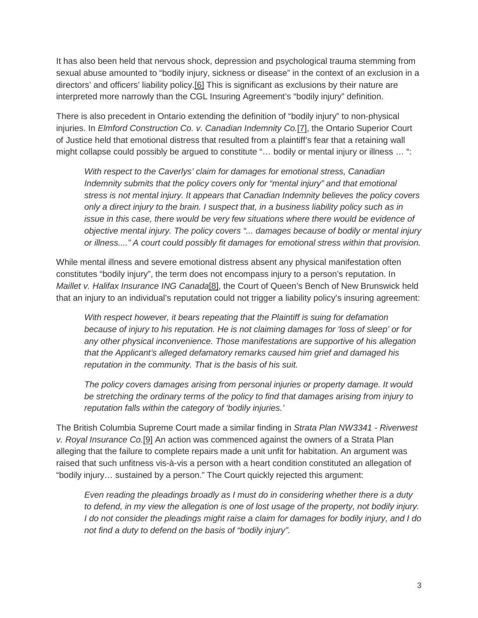It has also been held that nervous shock, depression and psychological trauma stemming from sexual abuse amounted to "bodily injury, sickness or disease" in the context of an exclusion in a directors' and officers' liability policy.[6] This is significant as exclusions by their nature are interpreted more narrowly than the CGL Insuring Agreement's "bodily injury" definition.

There is also precedent in Ontario extending the definition of "bodily injury" to non-physical injuries. In *Elmford Construction Co. v. Canadian Indemnity Co.*[7], the Ontario Superior Court of Justice held that emotional distress that resulted from a plaintiff's fear that a retaining wall might collapse could possibly be argued to constitute "... bodily or mental injury or illness ... ":

*With respect to the Caverlys' claim for damages for emotional stress, Canadian Indemnity submits that the policy covers only for "mental injury" and that emotional stress is not mental injury. It appears that Canadian Indemnity believes the policy covers only a direct injury to the brain. I suspect that, in a business liability policy such as in issue in this case, there would be very few situations where there would be evidence of objective mental injury. The policy covers "... damages because of bodily or mental injury or illness...." A court could possibly fit damages for emotional stress within that provision.*

While mental illness and severe emotional distress absent any physical manifestation often constitutes "bodily injury", the term does not encompass injury to a person's reputation. In *Maillet v. Halifax Insurance ING Canada*[8], the Court of Queen's Bench of New Brunswick held that an injury to an individual's reputation could not trigger a liability policy's insuring agreement:

*With respect however, it bears repeating that the Plaintiff is suing for defamation because of injury to his reputation. He is not claiming damages for 'loss of sleep' or for any other physical inconvenience. Those manifestations are supportive of his allegation that the Applicant's alleged defamatory remarks caused him grief and damaged his reputation in the community. That is the basis of his suit.*

*The policy covers damages arising from personal injuries or property damage. It would be stretching the ordinary terms of the policy to find that damages arising from injury to reputation falls within the category of 'bodily injuries.'*

The British Columbia Supreme Court made a similar finding in *Strata Plan NW3341 - Riverwest v. Royal Insurance Co.*[9] An action was commenced against the owners of a Strata Plan alleging that the failure to complete repairs made a unit unfit for habitation. An argument was raised that such unfitness vis-à-vis a person with a heart condition constituted an allegation of "bodily injury… sustained by a person." The Court quickly rejected this argument:

*Even reading the pleadings broadly as I must do in considering whether there is a duty to defend, in my view the allegation is one of lost usage of the property, not bodily injury. I do not consider the pleadings might raise a claim for damages for bodily injury, and I do not find a duty to defend on the basis of "bodily injury".*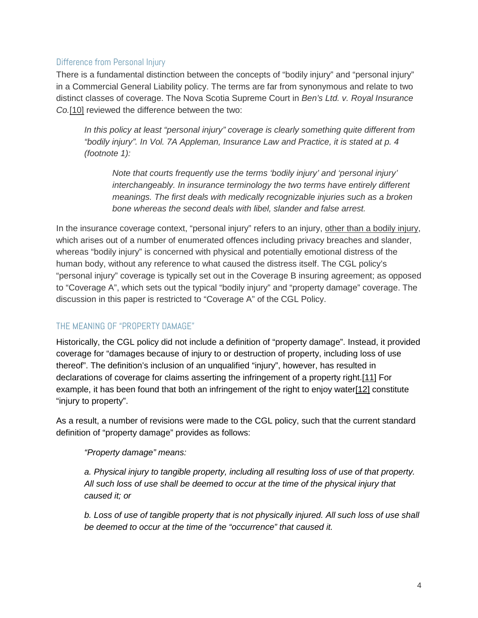# Difference from Personal Injury

There is a fundamental distinction between the concepts of "bodily injury" and "personal injury" in a Commercial General Liability policy. The terms are far from synonymous and relate to two distinct classes of coverage. The Nova Scotia Supreme Court in *Ben's Ltd. v. Royal Insurance Co.*[10] reviewed the difference between the two:

*In this policy at least "personal injury" coverage is clearly something quite different from "bodily injury". In Vol. 7A Appleman, Insurance Law and Practice, it is stated at p. 4 (footnote 1):*

*Note that courts frequently use the terms 'bodily injury' and 'personal injury' interchangeably. In insurance terminology the two terms have entirely different meanings. The first deals with medically recognizable injuries such as a broken bone whereas the second deals with libel, slander and false arrest.*

In the insurance coverage context, "personal injury" refers to an injury, other than a bodily injury, which arises out of a number of enumerated offences including privacy breaches and slander, whereas "bodily injury" is concerned with physical and potentially emotional distress of the human body, without any reference to what caused the distress itself. The CGL policy's "personal injury" coverage is typically set out in the Coverage B insuring agreement; as opposed to "Coverage A", which sets out the typical "bodily injury" and "property damage" coverage. The discussion in this paper is restricted to "Coverage A" of the CGL Policy.

# THE MEANING OF "PROPERTY DAMAGE"

Historically, the CGL policy did not include a definition of "property damage". Instead, it provided coverage for "damages because of injury to or destruction of property, including loss of use thereof". The definition's inclusion of an unqualified "injury", however, has resulted in declarations of coverage for claims asserting the infringement of a property right.[11] For example, it has been found that both an infringement of the right to enjoy water[12] constitute "injury to property".

As a result, a number of revisions were made to the CGL policy, such that the current standard definition of "property damage" provides as follows:

## *"Property damage" means:*

*a. Physical injury to tangible property, including all resulting loss of use of that property. All such loss of use shall be deemed to occur at the time of the physical injury that caused it; or*

*b. Loss of use of tangible property that is not physically injured. All such loss of use shall be deemed to occur at the time of the "occurrence" that caused it.*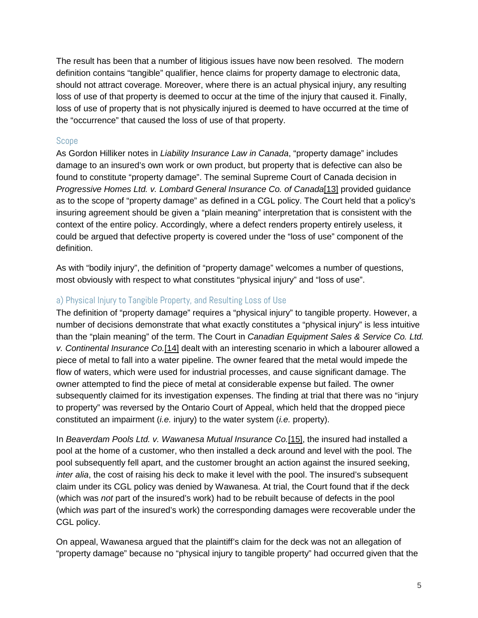The result has been that a number of litigious issues have now been resolved. The modern definition contains "tangible" qualifier, hence claims for property damage to electronic data, should not attract coverage. Moreover, where there is an actual physical injury, any resulting loss of use of that property is deemed to occur at the time of the injury that caused it. Finally, loss of use of property that is not physically injured is deemed to have occurred at the time of the "occurrence" that caused the loss of use of that property.

## Scope

As Gordon Hilliker notes in *Liability Insurance Law in Canada*, "property damage" includes damage to an insured's own work or own product, but property that is defective can also be found to constitute "property damage". The seminal Supreme Court of Canada decision in *Progressive Homes Ltd. v. Lombard General Insurance Co. of Canada*[13] provided guidance as to the scope of "property damage" as defined in a CGL policy. The Court held that a policy's insuring agreement should be given a "plain meaning" interpretation that is consistent with the context of the entire policy. Accordingly, where a defect renders property entirely useless, it could be argued that defective property is covered under the "loss of use" component of the definition.

As with "bodily injury", the definition of "property damage" welcomes a number of questions, most obviously with respect to what constitutes "physical injury" and "loss of use".

## a) Physical Injury to Tangible Property, and Resulting Loss of Use

The definition of "property damage" requires a "physical injury" to tangible property. However, a number of decisions demonstrate that what exactly constitutes a "physical injury" is less intuitive than the "plain meaning" of the term. The Court in *Canadian Equipment Sales & Service Co. Ltd. v. Continental Insurance Co.*[14] dealt with an interesting scenario in which a labourer allowed a piece of metal to fall into a water pipeline. The owner feared that the metal would impede the flow of waters, which were used for industrial processes, and cause significant damage. The owner attempted to find the piece of metal at considerable expense but failed. The owner subsequently claimed for its investigation expenses. The finding at trial that there was no "injury to property" was reversed by the Ontario Court of Appeal, which held that the dropped piece constituted an impairment (*i.e.* injury) to the water system (*i.e.* property).

In *Beaverdam Pools Ltd. v. Wawanesa Mutual Insurance Co.*[15], the insured had installed a pool at the home of a customer, who then installed a deck around and level with the pool. The pool subsequently fell apart, and the customer brought an action against the insured seeking, *inter alia*, the cost of raising his deck to make it level with the pool. The insured's subsequent claim under its CGL policy was denied by Wawanesa. At trial, the Court found that if the deck (which was *not* part of the insured's work) had to be rebuilt because of defects in the pool (which *was* part of the insured's work) the corresponding damages were recoverable under the CGL policy.

On appeal, Wawanesa argued that the plaintiff's claim for the deck was not an allegation of "property damage" because no "physical injury to tangible property" had occurred given that the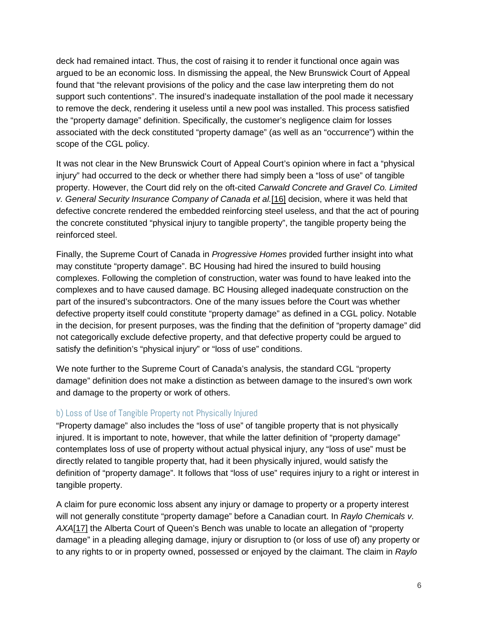deck had remained intact. Thus, the cost of raising it to render it functional once again was argued to be an economic loss. In dismissing the appeal, the New Brunswick Court of Appeal found that "the relevant provisions of the policy and the case law interpreting them do not support such contentions". The insured's inadequate installation of the pool made it necessary to remove the deck, rendering it useless until a new pool was installed. This process satisfied the "property damage" definition. Specifically, the customer's negligence claim for losses associated with the deck constituted "property damage" (as well as an "occurrence") within the scope of the CGL policy.

It was not clear in the New Brunswick Court of Appeal Court's opinion where in fact a "physical injury" had occurred to the deck or whether there had simply been a "loss of use" of tangible property. However, the Court did rely on the oft-cited *Carwald Concrete and Gravel Co. Limited v. General Security Insurance Company of Canada et al.*[16] decision, where it was held that defective concrete rendered the embedded reinforcing steel useless, and that the act of pouring the concrete constituted "physical injury to tangible property", the tangible property being the reinforced steel.

Finally, the Supreme Court of Canada in *Progressive Homes* provided further insight into what may constitute "property damage". BC Housing had hired the insured to build housing complexes. Following the completion of construction, water was found to have leaked into the complexes and to have caused damage. BC Housing alleged inadequate construction on the part of the insured's subcontractors. One of the many issues before the Court was whether defective property itself could constitute "property damage" as defined in a CGL policy. Notable in the decision, for present purposes, was the finding that the definition of "property damage" did not categorically exclude defective property, and that defective property could be argued to satisfy the definition's "physical injury" or "loss of use" conditions.

We note further to the Supreme Court of Canada's analysis, the standard CGL "property damage" definition does not make a distinction as between damage to the insured's own work and damage to the property or work of others.

## b) Loss of Use of Tangible Property not Physically Injured

"Property damage" also includes the "loss of use" of tangible property that is not physically injured. It is important to note, however, that while the latter definition of "property damage" contemplates loss of use of property without actual physical injury, any "loss of use" must be directly related to tangible property that, had it been physically injured, would satisfy the definition of "property damage". It follows that "loss of use" requires injury to a right or interest in tangible property.

A claim for pure economic loss absent any injury or damage to property or a property interest will not generally constitute "property damage" before a Canadian court. In *Raylo Chemicals v. AXA*[17] the Alberta Court of Queen's Bench was unable to locate an allegation of "property damage" in a pleading alleging damage, injury or disruption to (or loss of use of) any property or to any rights to or in property owned, possessed or enjoyed by the claimant. The claim in *Raylo*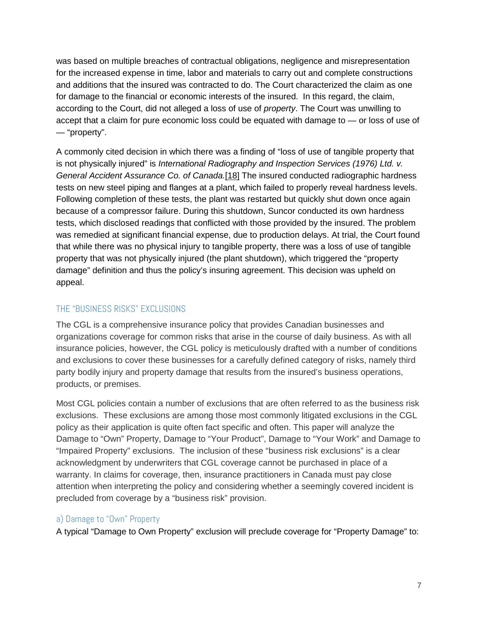was based on multiple breaches of contractual obligations, negligence and misrepresentation for the increased expense in time, labor and materials to carry out and complete constructions and additions that the insured was contracted to do. The Court characterized the claim as one for damage to the financial or economic interests of the insured. In this regard, the claim, according to the Court, did not alleged a loss of use of *property*. The Court was unwilling to accept that a claim for pure economic loss could be equated with damage to — or loss of use of — "property".

A commonly cited decision in which there was a finding of "loss of use of tangible property that is not physically injured" is *International Radiography and Inspection Services (1976) Ltd. v. General Accident Assurance Co. of Canada.*[18] The insured conducted radiographic hardness tests on new steel piping and flanges at a plant, which failed to properly reveal hardness levels. Following completion of these tests, the plant was restarted but quickly shut down once again because of a compressor failure. During this shutdown, Suncor conducted its own hardness tests, which disclosed readings that conflicted with those provided by the insured. The problem was remedied at significant financial expense, due to production delays. At trial, the Court found that while there was no physical injury to tangible property, there was a loss of use of tangible property that was not physically injured (the plant shutdown), which triggered the "property damage" definition and thus the policy's insuring agreement. This decision was upheld on appeal.

## THE "BUSINESS RISKS" EXCLUSIONS

The CGL is a comprehensive insurance policy that provides Canadian businesses and organizations coverage for common risks that arise in the course of daily business. As with all insurance policies, however, the CGL policy is meticulously drafted with a number of conditions and exclusions to cover these businesses for a carefully defined category of risks, namely third party bodily injury and property damage that results from the insured's business operations, products, or premises.

Most CGL policies contain a number of exclusions that are often referred to as the business risk exclusions. These exclusions are among those most commonly litigated exclusions in the CGL policy as their application is quite often fact specific and often. This paper will analyze the Damage to "Own" Property, Damage to "Your Product", Damage to "Your Work" and Damage to "Impaired Property" exclusions. The inclusion of these "business risk exclusions" is a clear acknowledgment by underwriters that CGL coverage cannot be purchased in place of a warranty. In claims for coverage, then, insurance practitioners in Canada must pay close attention when interpreting the policy and considering whether a seemingly covered incident is precluded from coverage by a "business risk" provision.

## a) Damage to "Own" Property

A typical "Damage to Own Property" exclusion will preclude coverage for "Property Damage" to: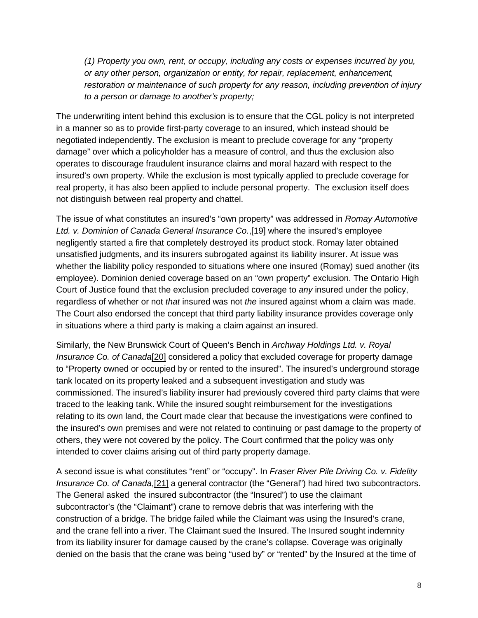*(1) Property you own, rent, or occupy, including any costs or expenses incurred by you, or any other person, organization or entity, for repair, replacement, enhancement, restoration or maintenance of such property for any reason, including prevention of injury to a person or damage to another's property;*

The underwriting intent behind this exclusion is to ensure that the CGL policy is not interpreted in a manner so as to provide first-party coverage to an insured, which instead should be negotiated independently. The exclusion is meant to preclude coverage for any "property damage" over which a policyholder has a measure of control, and thus the exclusion also operates to discourage fraudulent insurance claims and moral hazard with respect to the insured's own property. While the exclusion is most typically applied to preclude coverage for real property, it has also been applied to include personal property. The exclusion itself does not distinguish between real property and chattel.

The issue of what constitutes an insured's "own property" was addressed in *Romay Automotive Ltd. v. Dominion of Canada General Insurance Co.*,[19] where the insured's employee negligently started a fire that completely destroyed its product stock. Romay later obtained unsatisfied judgments, and its insurers subrogated against its liability insurer. At issue was whether the liability policy responded to situations where one insured (Romay) sued another (its employee). Dominion denied coverage based on an "own property" exclusion. The Ontario High Court of Justice found that the exclusion precluded coverage to *any* insured under the policy, regardless of whether or not *that* insured was not *the* insured against whom a claim was made. The Court also endorsed the concept that third party liability insurance provides coverage only in situations where a third party is making a claim against an insured.

Similarly, the New Brunswick Court of Queen's Bench in *Archway Holdings Ltd. v. Royal Insurance Co. of Canada*[20] considered a policy that excluded coverage for property damage to "Property owned or occupied by or rented to the insured". The insured's underground storage tank located on its property leaked and a subsequent investigation and study was commissioned. The insured's liability insurer had previously covered third party claims that were traced to the leaking tank. While the insured sought reimbursement for the investigations relating to its own land, the Court made clear that because the investigations were confined to the insured's own premises and were not related to continuing or past damage to the property of others, they were not covered by the policy. The Court confirmed that the policy was only intended to cover claims arising out of third party property damage.

A second issue is what constitutes "rent" or "occupy". In *Fraser River Pile Driving Co. v. Fidelity Insurance Co. of Canada*,[21] a general contractor (the "General") had hired two subcontractors. The General asked the insured subcontractor (the "Insured") to use the claimant subcontractor's (the "Claimant") crane to remove debris that was interfering with the construction of a bridge. The bridge failed while the Claimant was using the Insured's crane, and the crane fell into a river. The Claimant sued the Insured. The Insured sought indemnity from its liability insurer for damage caused by the crane's collapse. Coverage was originally denied on the basis that the crane was being "used by" or "rented" by the Insured at the time of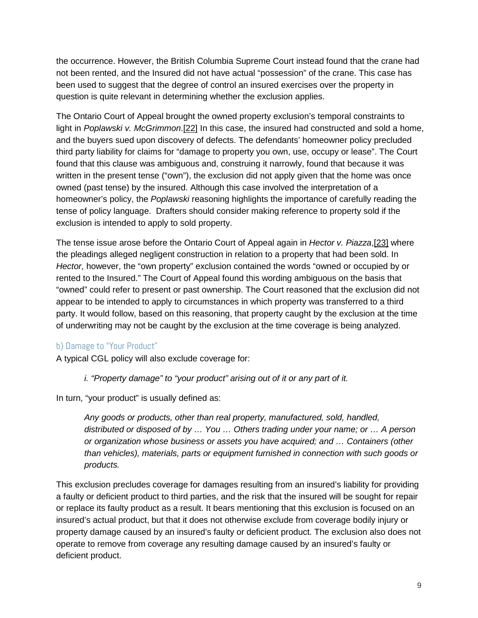the occurrence. However, the British Columbia Supreme Court instead found that the crane had not been rented, and the Insured did not have actual "possession" of the crane. This case has been used to suggest that the degree of control an insured exercises over the property in question is quite relevant in determining whether the exclusion applies.

The Ontario Court of Appeal brought the owned property exclusion's temporal constraints to light in *Poplawski v. McGrimmon*.[22] In this case, the insured had constructed and sold a home, and the buyers sued upon discovery of defects. The defendants' homeowner policy precluded third party liability for claims for "damage to property you own, use, occupy or lease". The Court found that this clause was ambiguous and, construing it narrowly, found that because it was written in the present tense ("own"), the exclusion did not apply given that the home was once owned (past tense) by the insured. Although this case involved the interpretation of a homeowner's policy, the *Poplawski* reasoning highlights the importance of carefully reading the tense of policy language. Drafters should consider making reference to property sold if the exclusion is intended to apply to sold property.

The tense issue arose before the Ontario Court of Appeal again in *Hector v. Piazza*,[23] where the pleadings alleged negligent construction in relation to a property that had been sold. In *Hector*, however, the "own property" exclusion contained the words "owned or occupied by or rented to the Insured." The Court of Appeal found this wording ambiguous on the basis that "owned" could refer to present or past ownership. The Court reasoned that the exclusion did not appear to be intended to apply to circumstances in which property was transferred to a third party. It would follow, based on this reasoning, that property caught by the exclusion at the time of underwriting may not be caught by the exclusion at the time coverage is being analyzed.

## b) Damage to "Your Product"

A typical CGL policy will also exclude coverage for:

*i. "Property damage" to "your product" arising out of it or any part of it.*

In turn, "your product" is usually defined as:

*Any goods or products, other than real property, manufactured, sold, handled, distributed or disposed of by … You … Others trading under your name; or … A person or organization whose business or assets you have acquired; and … Containers (other than vehicles), materials, parts or equipment furnished in connection with such goods or products.*

This exclusion precludes coverage for damages resulting from an insured's liability for providing a faulty or deficient product to third parties, and the risk that the insured will be sought for repair or replace its faulty product as a result. It bears mentioning that this exclusion is focused on an insured's actual product, but that it does not otherwise exclude from coverage bodily injury or property damage caused by an insured's faulty or deficient product. The exclusion also does not operate to remove from coverage any resulting damage caused by an insured's faulty or deficient product.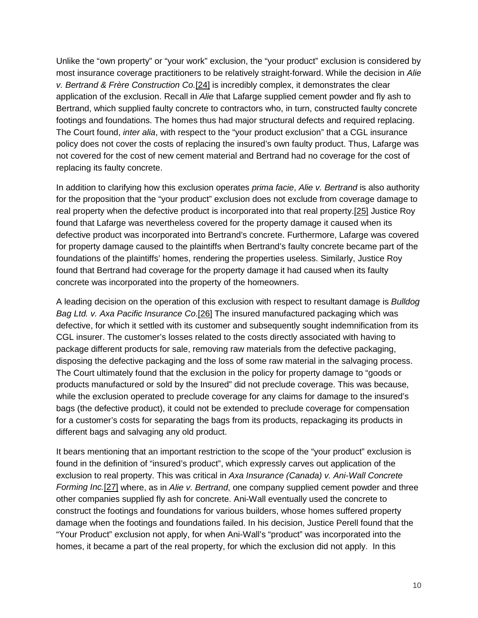Unlike the "own property" or "your work" exclusion, the "your product" exclusion is considered by most insurance coverage practitioners to be relatively straight-forward. While the decision in *Alie v. Bertrand & Frère Construction Co.*[24] is incredibly complex, it demonstrates the clear application of the exclusion. Recall in *Alie* that Lafarge supplied cement powder and fly ash to Bertrand, which supplied faulty concrete to contractors who, in turn, constructed faulty concrete footings and foundations. The homes thus had major structural defects and required replacing. The Court found, *inter alia*, with respect to the "your product exclusion" that a CGL insurance policy does not cover the costs of replacing the insured's own faulty product. Thus, Lafarge was not covered for the cost of new cement material and Bertrand had no coverage for the cost of replacing its faulty concrete.

In addition to clarifying how this exclusion operates *prima facie*, *Alie v. Bertrand* is also authority for the proposition that the "your product" exclusion does not exclude from coverage damage to real property when the defective product is incorporated into that real property.[25] Justice Roy found that Lafarge was nevertheless covered for the property damage it caused when its defective product was incorporated into Bertrand's concrete. Furthermore, Lafarge was covered for property damage caused to the plaintiffs when Bertrand's faulty concrete became part of the foundations of the plaintiffs' homes, rendering the properties useless. Similarly, Justice Roy found that Bertrand had coverage for the property damage it had caused when its faulty concrete was incorporated into the property of the homeowners.

A leading decision on the operation of this exclusion with respect to resultant damage is *Bulldog Bag Ltd. v. Axa Pacific Insurance Co*.[26] The insured manufactured packaging which was defective, for which it settled with its customer and subsequently sought indemnification from its CGL insurer. The customer's losses related to the costs directly associated with having to package different products for sale, removing raw materials from the defective packaging, disposing the defective packaging and the loss of some raw material in the salvaging process. The Court ultimately found that the exclusion in the policy for property damage to "goods or products manufactured or sold by the Insured" did not preclude coverage. This was because, while the exclusion operated to preclude coverage for any claims for damage to the insured's bags (the defective product), it could not be extended to preclude coverage for compensation for a customer's costs for separating the bags from its products, repackaging its products in different bags and salvaging any old product.

It bears mentioning that an important restriction to the scope of the "your product" exclusion is found in the definition of "insured's product", which expressly carves out application of the exclusion to real property. This was critical in *Axa Insurance (Canada) v. Ani-Wall Concrete Forming Inc.*[27] where, as in *Alie v. Bertrand*, one company supplied cement powder and three other companies supplied fly ash for concrete. Ani-Wall eventually used the concrete to construct the footings and foundations for various builders, whose homes suffered property damage when the footings and foundations failed. In his decision, Justice Perell found that the "Your Product" exclusion not apply, for when Ani-Wall's "product" was incorporated into the homes, it became a part of the real property, for which the exclusion did not apply. In this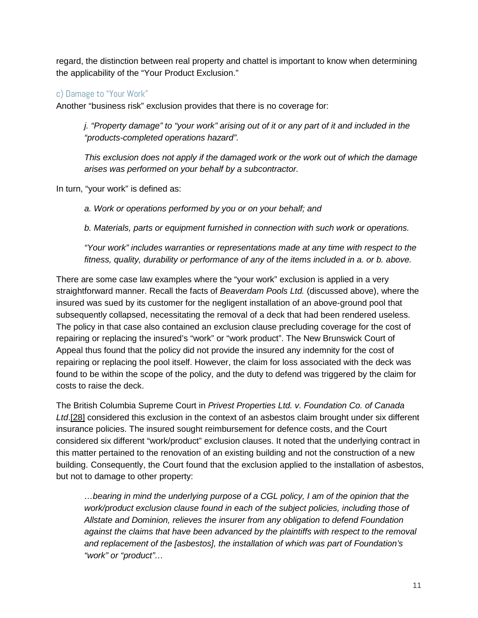regard, the distinction between real property and chattel is important to know when determining the applicability of the "Your Product Exclusion."

# c) Damage to "Your Work"

Another "business risk" exclusion provides that there is no coverage for:

*j. "Property damage" to "your work" arising out of it or any part of it and included in the "products-completed operations hazard".* 

*This exclusion does not apply if the damaged work or the work out of which the damage arises was performed on your behalf by a subcontractor.*

In turn, "your work" is defined as:

*a. Work or operations performed by you or on your behalf; and*

*b. Materials, parts or equipment furnished in connection with such work or operations.*

*"Your work" includes warranties or representations made at any time with respect to the fitness, quality, durability or performance of any of the items included in a. or b. above.*

There are some case law examples where the "your work" exclusion is applied in a very straightforward manner. Recall the facts of *Beaverdam Pools Ltd.* (discussed above), where the insured was sued by its customer for the negligent installation of an above-ground pool that subsequently collapsed, necessitating the removal of a deck that had been rendered useless. The policy in that case also contained an exclusion clause precluding coverage for the cost of repairing or replacing the insured's "work" or "work product". The New Brunswick Court of Appeal thus found that the policy did not provide the insured any indemnity for the cost of repairing or replacing the pool itself. However, the claim for loss associated with the deck was found to be within the scope of the policy, and the duty to defend was triggered by the claim for costs to raise the deck.

The British Columbia Supreme Court in *Privest Properties Ltd. v. Foundation Co. of Canada Ltd*.[28] considered this exclusion in the context of an asbestos claim brought under six different insurance policies. The insured sought reimbursement for defence costs, and the Court considered six different "work/product" exclusion clauses. It noted that the underlying contract in this matter pertained to the renovation of an existing building and not the construction of a new building. Consequently, the Court found that the exclusion applied to the installation of asbestos, but not to damage to other property:

*…bearing in mind the underlying purpose of a CGL policy, I am of the opinion that the work/product exclusion clause found in each of the subject policies, including those of Allstate and Dominion, relieves the insurer from any obligation to defend Foundation against the claims that have been advanced by the plaintiffs with respect to the removal and replacement of the [asbestos], the installation of which was part of Foundation's "work" or "product"…*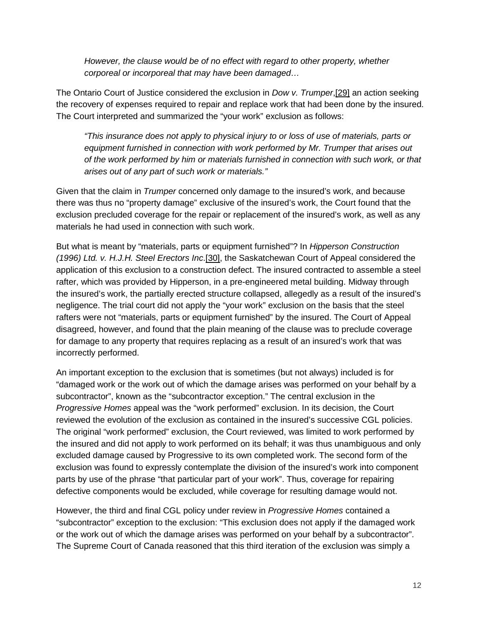*However, the clause would be of no effect with regard to other property, whether corporeal or incorporeal that may have been damaged…*

The Ontario Court of Justice considered the exclusion in *Dow v. Trumper*,[29] an action seeking the recovery of expenses required to repair and replace work that had been done by the insured. The Court interpreted and summarized the "your work" exclusion as follows:

*"This insurance does not apply to physical injury to or loss of use of materials, parts or equipment furnished in connection with work performed by Mr. Trumper that arises out of the work performed by him or materials furnished in connection with such work, or that arises out of any part of such work or materials."*

Given that the claim in *Trumper* concerned only damage to the insured's work, and because there was thus no "property damage" exclusive of the insured's work, the Court found that the exclusion precluded coverage for the repair or replacement of the insured's work, as well as any materials he had used in connection with such work.

But what is meant by "materials, parts or equipment furnished"? In *Hipperson Construction (1996) Ltd. v. H.J.H. Steel Erectors Inc*.[30], the Saskatchewan Court of Appeal considered the application of this exclusion to a construction defect. The insured contracted to assemble a steel rafter, which was provided by Hipperson, in a pre-engineered metal building. Midway through the insured's work, the partially erected structure collapsed, allegedly as a result of the insured's negligence. The trial court did not apply the "your work" exclusion on the basis that the steel rafters were not "materials, parts or equipment furnished" by the insured. The Court of Appeal disagreed, however, and found that the plain meaning of the clause was to preclude coverage for damage to any property that requires replacing as a result of an insured's work that was incorrectly performed.

An important exception to the exclusion that is sometimes (but not always) included is for "damaged work or the work out of which the damage arises was performed on your behalf by a subcontractor", known as the "subcontractor exception." The central exclusion in the *Progressive Homes* appeal was the "work performed" exclusion. In its decision, the Court reviewed the evolution of the exclusion as contained in the insured's successive CGL policies. The original "work performed" exclusion, the Court reviewed, was limited to work performed by the insured and did not apply to work performed on its behalf; it was thus unambiguous and only excluded damage caused by Progressive to its own completed work. The second form of the exclusion was found to expressly contemplate the division of the insured's work into component parts by use of the phrase "that particular part of your work". Thus, coverage for repairing defective components would be excluded, while coverage for resulting damage would not.

However, the third and final CGL policy under review in *Progressive Homes* contained a "subcontractor" exception to the exclusion: "This exclusion does not apply if the damaged work or the work out of which the damage arises was performed on your behalf by a subcontractor". The Supreme Court of Canada reasoned that this third iteration of the exclusion was simply a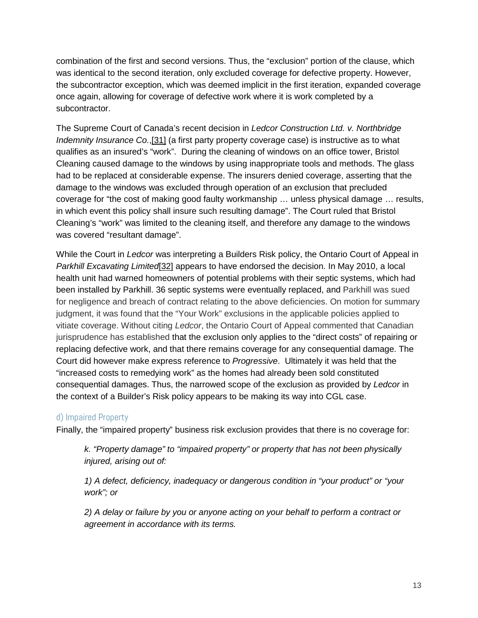combination of the first and second versions. Thus, the "exclusion" portion of the clause, which was identical to the second iteration, only excluded coverage for defective property. However, the subcontractor exception, which was deemed implicit in the first iteration, expanded coverage once again, allowing for coverage of defective work where it is work completed by a subcontractor.

The Supreme Court of Canada's recent decision in *Ledcor Construction Ltd. v. Northbridge Indemnity Insurance Co.*,[31] (a first party property coverage case) is instructive as to what qualifies as an insured's "work". During the cleaning of windows on an office tower, Bristol Cleaning caused damage to the windows by using inappropriate tools and methods. The glass had to be replaced at considerable expense. The insurers denied coverage, asserting that the damage to the windows was excluded through operation of an exclusion that precluded coverage for "the cost of making good faulty workmanship … unless physical damage … results, in which event this policy shall insure such resulting damage". The Court ruled that Bristol Cleaning's "work" was limited to the cleaning itself, and therefore any damage to the windows was covered "resultant damage".

While the Court in *Ledcor* was interpreting a Builders Risk policy, the Ontario Court of Appeal in *Parkhill Excavating Limited*[32] appears to have endorsed the decision. In May 2010, a local health unit had warned homeowners of potential problems with their septic systems, which had been installed by Parkhill. 36 septic systems were eventually replaced, and Parkhill was sued for negligence and breach of contract relating to the above deficiencies. On motion for summary judgment, it was found that the "Your Work" exclusions in the applicable policies applied to vitiate coverage. Without citing *Ledcor*, the Ontario Court of Appeal commented that Canadian jurisprudence has established that the exclusion only applies to the "direct costs" of repairing or replacing defective work, and that there remains coverage for any consequential damage. The Court did however make express reference to *Progressive*. Ultimately it was held that the "increased costs to remedying work" as the homes had already been sold constituted consequential damages. Thus, the narrowed scope of the exclusion as provided by *Ledcor* in the context of a Builder's Risk policy appears to be making its way into CGL case.

## d) Impaired Property

Finally, the "impaired property" business risk exclusion provides that there is no coverage for:

*k. "Property damage" to "impaired property" or property that has not been physically injured, arising out of:*

*1) A defect, deficiency, inadequacy or dangerous condition in "your product" or "your work"; or*

*2) A delay or failure by you or anyone acting on your behalf to perform a contract or agreement in accordance with its terms.*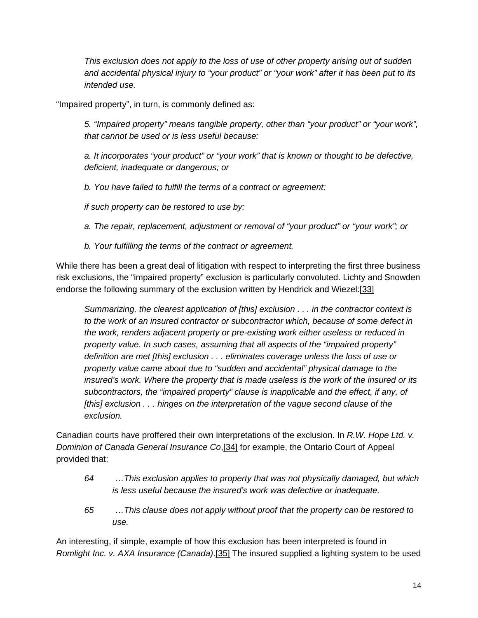*This exclusion does not apply to the loss of use of other property arising out of sudden and accidental physical injury to "your product" or "your work" after it has been put to its intended use.*

"Impaired property", in turn, is commonly defined as:

*5. "Impaired property" means tangible property, other than "your product" or "your work", that cannot be used or is less useful because:*

*a. It incorporates "your product" or "your work" that is known or thought to be defective, deficient, inadequate or dangerous; or*

*b. You have failed to fulfill the terms of a contract or agreement;*

*if such property can be restored to use by:*

*a. The repair, replacement, adjustment or removal of "your product" or "your work"; or*

*b. Your fulfilling the terms of the contract or agreement.*

While there has been a great deal of litigation with respect to interpreting the first three business risk exclusions, the "impaired property" exclusion is particularly convoluted. Lichty and Snowden endorse the following summary of the exclusion written by Hendrick and Wiezel:[33]

*Summarizing, the clearest application of [this] exclusion . . . in the contractor context is to the work of an insured contractor or subcontractor which, because of some defect in the work, renders adjacent property or pre-existing work either useless or reduced in property value. In such cases, assuming that all aspects of the "impaired property" definition are met [this] exclusion . . . eliminates coverage unless the loss of use or property value came about due to "sudden and accidental" physical damage to the insured's work. Where the property that is made useless is the work of the insured or its subcontractors, the "impaired property" clause is inapplicable and the effect, if any, of [this] exclusion . . . hinges on the interpretation of the vague second clause of the exclusion.*

Canadian courts have proffered their own interpretations of the exclusion. In *R.W. Hope Ltd. v. Dominion of Canada General Insurance Co*,[34] for example, the Ontario Court of Appeal provided that:

- *64 …This exclusion applies to property that was not physically damaged, but which is less useful because the insured's work was defective or inadequate.*
- *65 …This clause does not apply without proof that the property can be restored to use.*

An interesting, if simple, example of how this exclusion has been interpreted is found in *Romlight Inc. v. AXA Insurance (Canada)*.[35] The insured supplied a lighting system to be used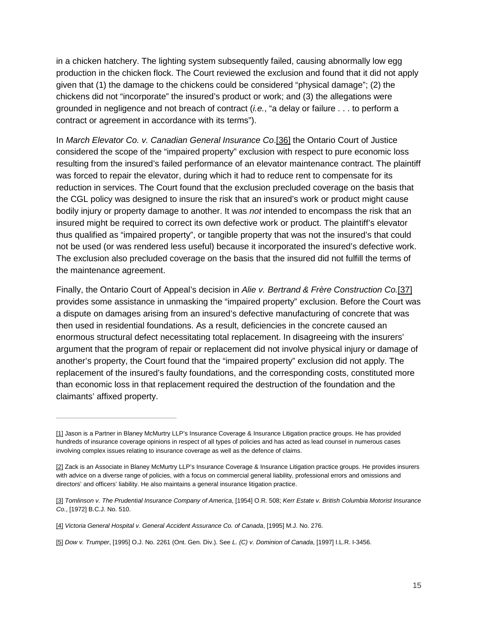in a chicken hatchery. The lighting system subsequently failed, causing abnormally low egg production in the chicken flock. The Court reviewed the exclusion and found that it did not apply given that (1) the damage to the chickens could be considered "physical damage"; (2) the chickens did not "incorporate" the insured's product or work; and (3) the allegations were grounded in negligence and not breach of contract (*i.e.*, "a delay or failure . . . to perform a contract or agreement in accordance with its terms").

In *March Elevator Co. v. Canadian General Insurance Co*.[36] the Ontario Court of Justice considered the scope of the "impaired property" exclusion with respect to pure economic loss resulting from the insured's failed performance of an elevator maintenance contract. The plaintiff was forced to repair the elevator, during which it had to reduce rent to compensate for its reduction in services. The Court found that the exclusion precluded coverage on the basis that the CGL policy was designed to insure the risk that an insured's work or product might cause bodily injury or property damage to another. It was *not* intended to encompass the risk that an insured might be required to correct its own defective work or product. The plaintiff's elevator thus qualified as "impaired property", or tangible property that was not the insured's that could not be used (or was rendered less useful) because it incorporated the insured's defective work. The exclusion also precluded coverage on the basis that the insured did not fulfill the terms of the maintenance agreement.

Finally, the Ontario Court of Appeal's decision in *Alie v. Bertrand & Frère Construction Co.*[37] provides some assistance in unmasking the "impaired property" exclusion. Before the Court was a dispute on damages arising from an insured's defective manufacturing of concrete that was then used in residential foundations. As a result, deficiencies in the concrete caused an enormous structural defect necessitating total replacement. In disagreeing with the insurers' argument that the program of repair or replacement did not involve physical injury or damage of another's property, the Court found that the "impaired property" exclusion did not apply. The replacement of the insured's faulty foundations, and the corresponding costs, constituted more than economic loss in that replacement required the destruction of the foundation and the claimants' affixed property.

<sup>[1]</sup> Jason is a Partner in Blaney McMurtry LLP's Insurance Coverage & Insurance Litigation practice groups. He has provided hundreds of insurance coverage opinions in respect of all types of policies and has acted as lead counsel in numerous cases involving complex issues relating to insurance coverage as well as the defence of claims.

<sup>[2]</sup> Zack is an Associate in Blaney McMurtry LLP's Insurance Coverage & Insurance Litigation practice groups. He provides insurers with advice on a diverse range of policies, with a focus on commercial general liability, professional errors and omissions and directors' and officers' liability. He also maintains a general insurance litigation practice.

<sup>[3]</sup> *Tomlinson v. The Prudential Insurance Company of America*, [1954] O.R. 508; *Kerr Estate v. British Columbia Motorist Insurance Co.*, [1972] B.C.J. No. 510.

<sup>[4]</sup> *Victoria General Hospital v. General Accident Assurance Co. of Canada*, [1995] M.J. No. 276.

<sup>[5]</sup> *Dow v. Trumper*, [1995] O.J. No. 2261 (Ont. Gen. Div.). See *L. (C) v. Dominion of Canada*, [1997] I.L.R. I-3456.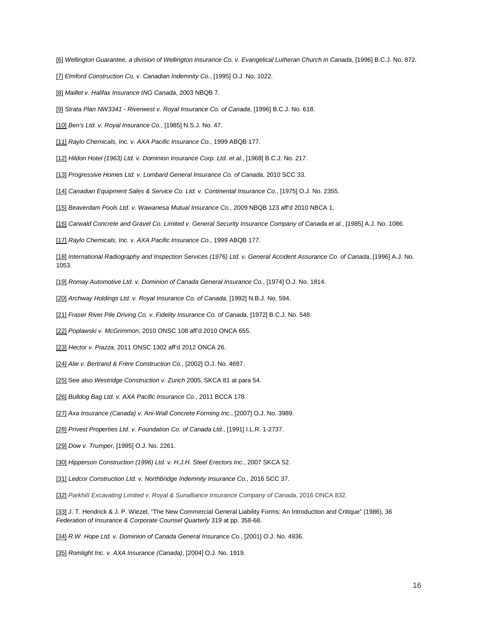- [6] *Wellington Guarantee, a division of Wellington Insurance Co. v. Evangelical Lutheran Church in Canada*, [1996] B.C.J. No. 872.
- [7] *Elmford Construction Co. v. Canadian Indemnity Co.*, [1995] O.J. No. 1022.
- [8] *Maillet v. Halifax Insurance ING Canada*, 2003 NBQB 7.
- [9] *Strata Plan NW3341 - Riverwest v. Royal Insurance Co. of Canada*, [1996] B.C.J. No. 618.
- [10] *Ben's Ltd. v. Royal Insurance Co.*, [1985] N.S.J. No. 47.
- [11] *Raylo Chemicals, Inc. v. AXA Pacific Insurance Co.*, 1999 ABQB 177.
- [12] *Hildon Hotel (1963) Ltd. v. Dominion Insurance Corp. Ltd. et al.*, [1968] B.C.J. No. 217.
- [13] Progressive Homes Ltd. v. Lombard General Insurance Co. of Canada, 2010 SCC 33.
- [14] *Canadian Equipment Sales & Service Co. Ltd. v. Continental Insurance Co.*, [1975] O.J. No. 2355.
- [15] *Beaverdam Pools Ltd. v. Wawanesa Mutual Insurance Co.*, 2009 NBQB 123 aff'd 2010 NBCA 1.
- [16] *Carwald Concrete and Gravel Co. Limited v. General Security Insurance Company of Canada et al.*, [1985] A.J. No. 1086.
- [17] *Raylo Chemicals, Inc. v. AXA Pacific Insurance Co.*, 1999 ABQB 177.
- [18] *International Radiography and Inspection Services (1976) Ltd. v. General Accident Assurance Co. of Canada*, [1996] A.J. No. 1053.
- [19] *Romay Automotive Ltd. v. Dominion of Canada General Insurance Co.*, [1974] O.J. No. 1814.
- [20] *Archway Holdings Ltd. v. Royal Insurance Co. of Canada*, [1992] N.B.J. No. 594.
- [21] *Fraser River Pile Driving Co. v. Fidelity Insurance Co. of Canada*, [1972] B.C.J. No. 548.
- [22] *Poplawski v. McGrimmon*, 2010 ONSC 108 aff'd 2010 ONCA 655.
- [23] *Hector v. Piazza*, 2011 ONSC 1302 aff'd 2012 ONCA 26.
- [24] *Alie v. Bertrand & Frère Construction Co.*, [2002] O.J. No. 4697.
- [25] See also *Westridge Construction v. Zurich* 2005, SKCA 81 at para 54.
- [26] *Bulldog Bag Ltd. v. AXA Pacific Insurance Co.*, 2011 BCCA 178.
- [27] *Axa Insurance (Canada) v. Ani-Wall Concrete Forming Inc.*, [2007] O.J. No. 3989.
- [28] *Privest Properties Ltd. v. Foundation Co. of Canada Ltd.*, [1991] I.L.R. 1-2737.
- [29] *Dow v. Trumper*, [1995] O.J. No. 2261.
- [30] Hipperson Construction (1996) Ltd. v. H.J.H. Steel Erectors Inc., 2007 SKCA 52.
- [31] *Ledcor Construction Ltd. v. Northbridge Indemnity Insurance Co.*, 2016 SCC 37.
- [32] *ParkhiII Excavating Limited v. Royal & Sunalliance Insurance Company of Canada*, 2016 ONCA 832.

[33] J. T. Hendrick & J. P. Wiezel, "The New Commercial General Liability Forms: An Introduction and Critique" (1986), 36 *Federation of Insurance & Corporate Counsel Quarterly* 319 at pp. 358-68.

- [34] *R.W. Hope Ltd. v. Dominion of Canada General Insurance Co.*, [2001] O.J. No. 4936.
- [35] *Romlight Inc. v. AXA Insurance (Canada)*, [2004] O.J. No. 1919.